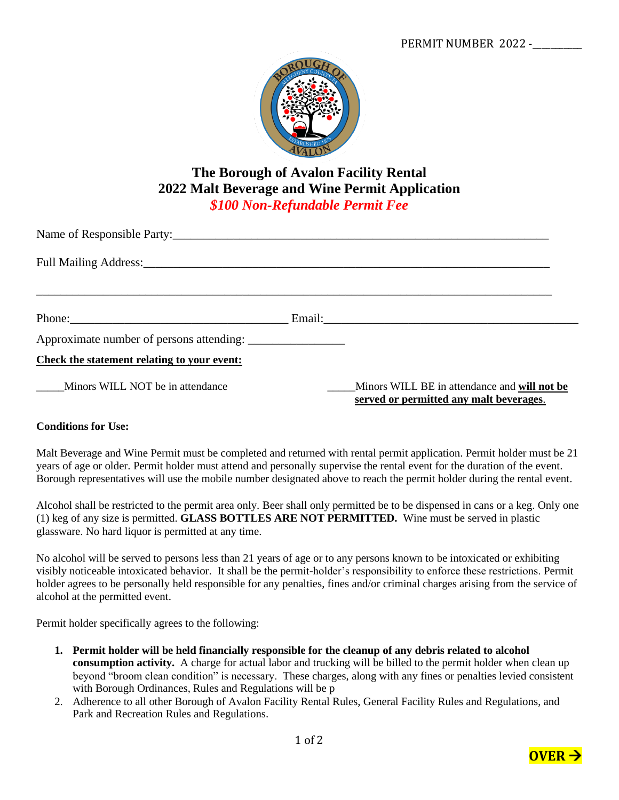

## **The Borough of Avalon Facility Rental 2022 Malt Beverage and Wine Permit Application** *\$100 Non-Refundable Permit Fee*

| Name of Responsible Party:                  |  |                                                                                         |  |  |  |  |  |
|---------------------------------------------|--|-----------------------------------------------------------------------------------------|--|--|--|--|--|
|                                             |  |                                                                                         |  |  |  |  |  |
|                                             |  |                                                                                         |  |  |  |  |  |
|                                             |  |                                                                                         |  |  |  |  |  |
|                                             |  |                                                                                         |  |  |  |  |  |
| Check the statement relating to your event: |  |                                                                                         |  |  |  |  |  |
| Minors WILL NOT be in attendance            |  | Minors WILL BE in attendance and will not be<br>served or permitted any malt beverages. |  |  |  |  |  |

## **Conditions for Use:**

Malt Beverage and Wine Permit must be completed and returned with rental permit application. Permit holder must be 21 years of age or older. Permit holder must attend and personally supervise the rental event for the duration of the event. Borough representatives will use the mobile number designated above to reach the permit holder during the rental event.

Alcohol shall be restricted to the permit area only. Beer shall only permitted be to be dispensed in cans or a keg. Only one (1) keg of any size is permitted. **GLASS BOTTLES ARE NOT PERMITTED.** Wine must be served in plastic glassware. No hard liquor is permitted at any time.

No alcohol will be served to persons less than 21 years of age or to any persons known to be intoxicated or exhibiting visibly noticeable intoxicated behavior. It shall be the permit-holder's responsibility to enforce these restrictions. Permit holder agrees to be personally held responsible for any penalties, fines and/or criminal charges arising from the service of alcohol at the permitted event.

Permit holder specifically agrees to the following:

- **1. Permit holder will be held financially responsible for the cleanup of any debris related to alcohol consumption activity.** A charge for actual labor and trucking will be billed to the permit holder when clean up beyond "broom clean condition" is necessary. These charges, along with any fines or penalties levied consistent with Borough Ordinances, Rules and Regulations will be p
- 2. Adherence to all other Borough of Avalon Facility Rental Rules, General Facility Rules and Regulations, and Park and Recreation Rules and Regulations.